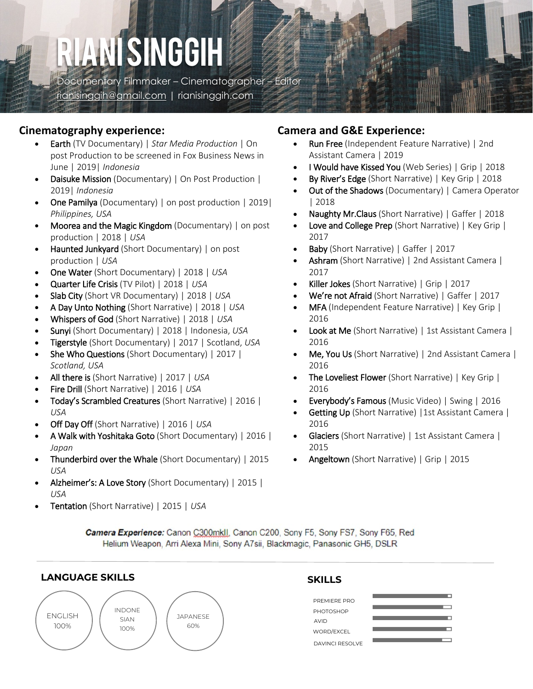# RIANI SINGGIH

Documentary Filmmaker – Cinematographer – Editor [rianisinggih@gmail.com](mailto:rianisinggih@gmail.com) | rianisinggih.com

## **Cinematography experience:**

- Earth (TV Documentary) | *Star Media Production* | On post Production to be screened in Fox Business News in June | 2019| *Indonesia*
- Daisuke Mission (Documentary) | On Post Production | 2019| *Indonesia*
- One Pamilya (Documentary) | on post production | 2019| *Philippines, USA*
- Moorea and the Magic Kingdom (Documentary) | on post production | 2018 | *USA*
- Haunted Junkyard (Short Documentary) | on post production | *USA*
- One Water (Short Documentary) | 2018 | *USA*
- Quarter Life Crisis (TV Pilot) | 2018 | *USA*
- Slab City (Short VR Documentary) | 2018 | *USA*
- A Day Unto Nothing (Short Narrative) | 2018 | *USA*
- Whispers of God (Short Narrative) | 2018 | *USA*
- Sunyi (Short Documentary) | 2018 | Indonesia, *USA*
- Tigerstyle (Short Documentary) | 2017 | Scotland, *USA*
- She Who Questions (Short Documentary) | 2017 | *Scotland, USA*
- All there is (Short Narrative) | 2017 | *USA*
- Fire Drill (Short Narrative) | 2016 | *USA*
- Today's Scrambled Creatures (Short Narrative) | 2016 | *USA*
- Off Day Off (Short Narrative) | 2016 | *USA*
- A Walk with Yoshitaka Goto (Short Documentary) | 2016 | *Japan*
- Thunderbird over the Whale (Short Documentary) | 2015 | *USA*
- Alzheimer's: A Love Story (Short Documentary) | 2015 | *USA*
- Tentation (Short Narrative) | 2015 | *USA*

# **Camera and G&E Experience:**

- Run Free (Independent Feature Narrative) | 2nd Assistant Camera | 2019
- I Would have Kissed You (Web Series) | Grip | 2018
- By River's Edge (Short Narrative) | Key Grip | 2018
- Out of the Shadows (Documentary) | Camera Operator | 2018
- Naughty Mr.Claus (Short Narrative) | Gaffer | 2018
- Love and College Prep (Short Narrative) | Key Grip | 2017
- Baby (Short Narrative) | Gaffer | 2017
- Ashram (Short Narrative) | 2nd Assistant Camera | 2017
- Killer Jokes (Short Narrative) | Grip | 2017
- We're not Afraid (Short Narrative) | Gaffer | 2017
- MFA (Independent Feature Narrative) | Key Grip | 2016
- Look at Me (Short Narrative) | 1st Assistant Camera | 2016
- Me, You Us (Short Narrative) | 2nd Assistant Camera | 2016
- The Loveliest Flower (Short Narrative) | Key Grip | 2016
- Everybody's Famous (Music Video) | Swing | 2016
- Getting Up (Short Narrative) | 1st Assistant Camera | 2016
- Glaciers (Short Narrative) | 1st Assistant Camera | 2015
- Angeltown (Short Narrative) | Grip | 2015

Camera Experience: Canon C300mkll, Canon C200, Sony F5, Sony FS7, Sony F65, Red Helium Weapon, Arri Alexa Mini, Sony A7sii, Blackmagic, Panasonic GH5, DSLR

# **LANGUAGE SKILLS**



# **SKILLS**